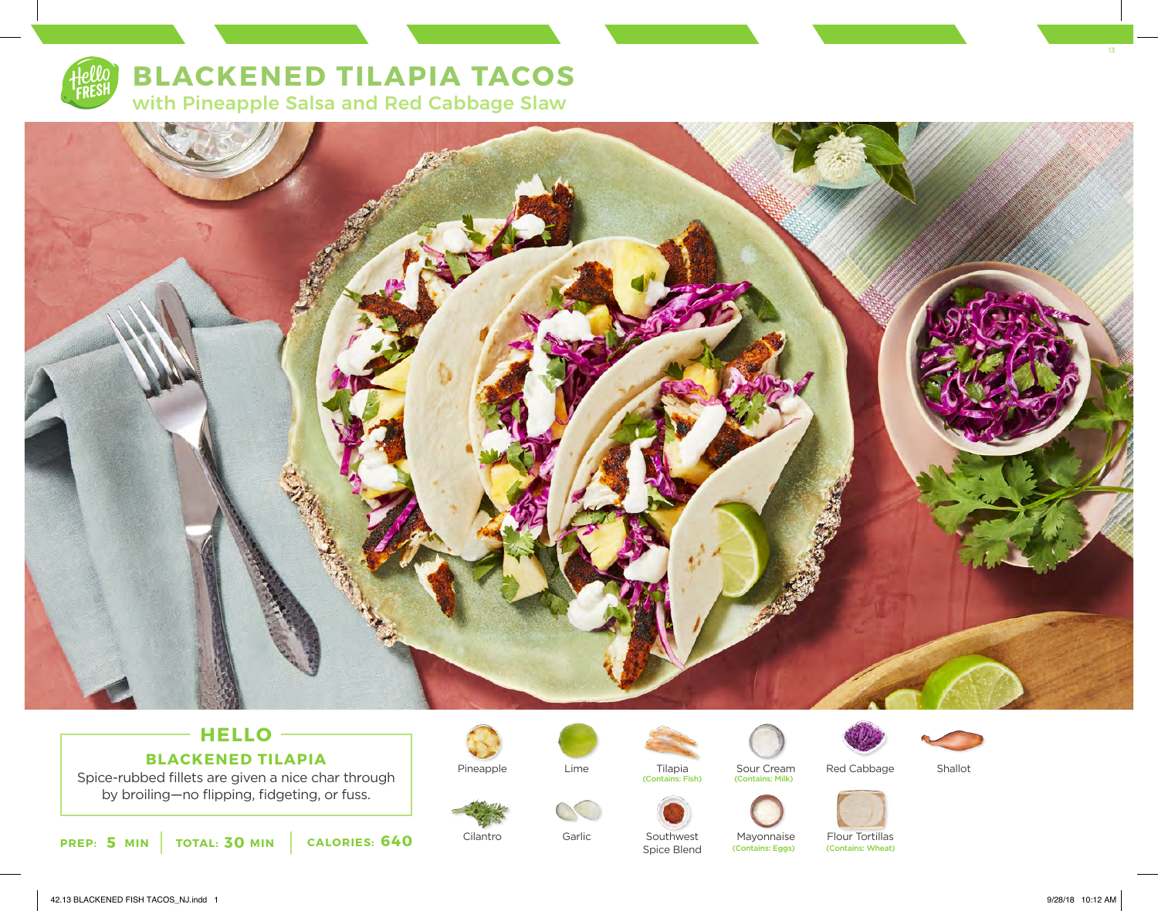

# **BLACKENED TILAPIA TACOS** with Pineapple Salsa and Red Cabbage Slaw



# **HELLO BLACKENED TILAPIA**

Spice-rubbed fillets are given a nice char through by broiling—no flipping, fidgeting, or fuss.





Cilantro

Lime



Garlic

Tilapia (Contains: Fish)



Southwest Spice Blend



(Contains: Milk)

Mayonnaise

(Contains: Eggs)







Flour Tortillas<br>(Contains: Wheat)

42.13 BLACKENED FISH TACOS\_NJ.indd 1 9/28/18 10:12 AM

13